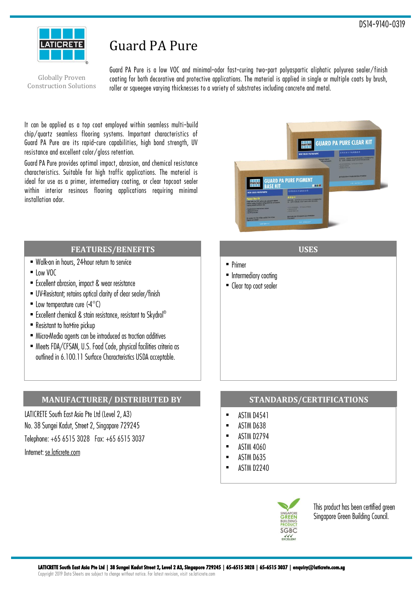

# Guard PA Pure

Globally Proven Construction Solutions Guard PA Pure is a low VOC and minimal-odor fast-curing two-part polyaspartic aliphatic polyurea sealer/finish coating for both decorative and protective applications. The material is applied in single or multiple coats by brush, roller or squeegee varying thicknesses to a variety of substrates including concrete and metal.

It can be applied as a top coat employed within seamless multi-build chip/quartz seamless flooring systems. Important characteristics of Guard PA Pure are its rapid-cure capabilities, high bond strength, UV resistance and excellent color/gloss retention.

Guard PA Pure provides optimal impact, abrasion, and chemical resistance characteristics. Suitable for high traffic applications. The material is ideal for use as a primer, intermediary coating, or clear topcoat sealer within interior resinous flooring applications requiring minimal installation odor.



**USES**

#### **FEATURES/BENEFITS**

- Walk-on in hours, 24-hour return to service
- $\blacksquare$  Low VOC
- Excellent abrasion, impact & wear resistance
- UV-Resistant; retains optical clarity of clear sealer/finish
- Low temperature cure  $(-4^{\circ}C)$
- Excellent chemical & stain resistance, resistant to Skydrol®
- Resistant to hot-tire pickup
- Micro-Media agents can be introduced as traction additives
- Meets FDA/CFSAN, U.S. Food Code, physical facilities criteria as outlined in 6.100.11 Surface Characteristics USDA acceptable.

# **MANUFACTURER/ DISTRIBUTED BY**

LATICRETE South East Asia Pte Ltd (Level 2, A3) No. 38 Sungei Kadut, Street 2, Singapore 729245 Telephone: +65 6515 3028 Fax: +65 6515 3037 Internet: se.laticrete.com

# **STANDARDS/CERTIFICATIONS**

Ĭ. **ASTM D4541** 

 $\blacksquare$  Primer

Intermediary coating • Clear top coat sealer

- $\blacksquare$ ASTM D638
- **ASTM D2794**  $\blacksquare$
- $\blacksquare$ **ASTM 4060**
- $\blacksquare$ ASTM D635
- ASTM D2240  $\blacksquare$



This product has been certified green Singapore Green Building Council.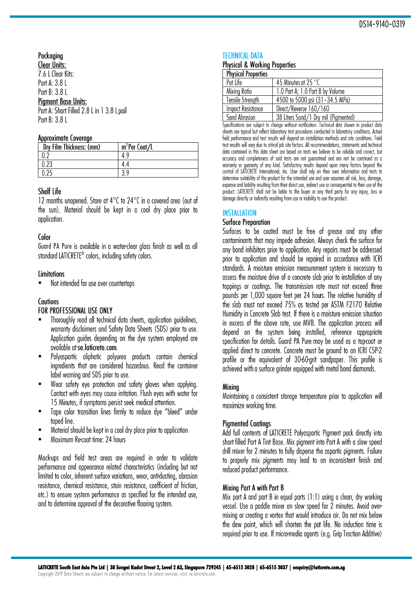# Packaging

**Clear Units:** 7.6 L Clear Kits: Part A: 3.8 L Part B: 3.8 L **Pigment Base Units:** Part A: Short Filled 2.8 L in 1 3.8 L pail Part B: 3.8 L

#### Approximate Coverage

| Dry Film Thickness: (mm) | $m^2$ Per Coat/L |
|--------------------------|------------------|
|                          |                  |
| ስ ሳሳ                     |                  |
|                          |                  |

# Shelf Life

12 months unopened. Store at 4°C to 24°C in a covered area (out of the sun). Material should be kept in a cool dry place prior to application.

#### Color

Guard PA Pure is available in a water-clear gloss finish as well as all standard LATICRETE® colors, including safety colors.

#### **Limitations**

Not intended for use over countertops .

# **Cautions**

# FOR PROFESSIONAL USE ONLY

- Thoroughly read all technical data sheets, application guidelines, . warranty disclaimers and Safety Data Sheets (SDS) prior to use. Application quides depending on the dye system employed are available at se.laticrete.com.
- Polyaspartic aliphatic polyurea products contain chemical . ingredients that are considered hazardous. Read the container label warning and SDS prior to use.
- Wear safety eye protection and safety gloves when applying. . Contact with eyes may cause irritation. Flush eyes with water for 15 Minutes, if symptoms persist seek medical attention.
- Tape color transition lines firmly to reduce dye "bleed" under . taped line.
- Material should be kept in a cool dry place prior to application .
- Maximum Re-coat time: 24 hours .

Mock-ups and field test areas are required in order to validate performance and appearance related characteristics (including but not limited to color, inherent surface variations, wear, anti-dusting, abrasion resistance, chemical resistance, stain resistance, coefficient of friction, etc.) to ensure system performance as specified for the intended use, and to determine approval of the decorative flooring system.

# **TECHNICAL DATA**

# **Physical & Working Properties**

| <b>Physical Properties</b> |                                        |
|----------------------------|----------------------------------------|
| Pot Life                   | 45 Minutes at 25 °C                    |
| Mixing Ratio               | 1.0 Part A; 1.0 Part B by Volume       |
| Tensile Strength           | 4500 to 5000 psi (31 - 34.5 MPa)       |
| Impact Resistance          | Direct/Reverse 160/160                 |
| l Sand Ahracion            | 38 Liters Sand / 1 Dry mil (Piamented) |

| 38 Liters Sana/ i Dry mii (Pigmentea) iu Adiusioni Specifications are subject to change without notification. Technical data shown in product data sheets are typical but reflect laboratory test procedures conducted in laboratory conditions. Actual field performance and test results will depend on installation methods and site conditions. Field test results will vary due to critical job site factors. All recommendations, statements and technical data contained in this data sheet are based on tests we believe to be reliable and correct, but accuracy and completeness of said tests are not guaranteed and are not be construed as a warranty or guaranty of any kind. Satisfactory results depend upon many factors beyond the control of LATICRETE International, Inc. User shall rely on their own information and tests to determine suitability of the product for the intended use and user assumes all risk, loss, damage, expense and liability resulting from their direct use, indirect use or consequential to their use of the product. LATICRETE shall not be liable to the buyer or any third party for any injury, loss or damage directly or indirectly resulting from use or inability to use the product.

# **INSTALLATION**

#### **Surface Preparation**

Surfaces to be coated must be free of grease and any other contaminants that may impede adhesion. Always check the surface for any bond inhibitors prior to application. Any repairs must be addressed prior to application and should be repaired in accordance with ICRI standards. A moisture emission measurement system is necessary to assess the moisture drive of a concrete slab prior to installation of any toppings or coatings. The transmission rate must not exceed three pounds per 1,000 square feet per 24 hours. The relative humidity of the slab must not exceed 75% as tested per ASTM F2170 Relative Humidity in Concrete Slab test. If there is a moisture emission situation in excess of the above rate, use MVB. The application process will depend on the system being installed, reference appropriate specification for details. Guard PA Pure may be used as a top-coat or applied direct to concrete. Concrete must be ground to an ICRI CSP-2 profile or the equivalent of 30-60-grit sandpaper. This profile is achieved with a surface grinder equipped with metal bond diamonds.

# **Mixing**

Maintaining a consistent storage temperature prior to application will maximize working time.

# **Pigmented Coatings**

Add full contents of LATICRETE Polyaspartic Pigment pack directly into short filled Part A Tint Base. Mix pigment into Part A with a slow speed drill mixer for 2 minutes to fully disperse the aspartic piaments. Failure to properly mix piaments may lead to an inconsistent finish and reduced product performance.

#### Mixing Part A with Part B

Mix part A and part B in equal parts (1:1) using a clean, dry working vessel. Use a paddle mixer on slow speed for 2 minutes. Avoid overmixing or creating a vortex that would introduce air. Do not mix below the dew point, which will shorten the pot life. No induction time is required prior to use. If micro-media agents (e.g. Grip Traction Additive)